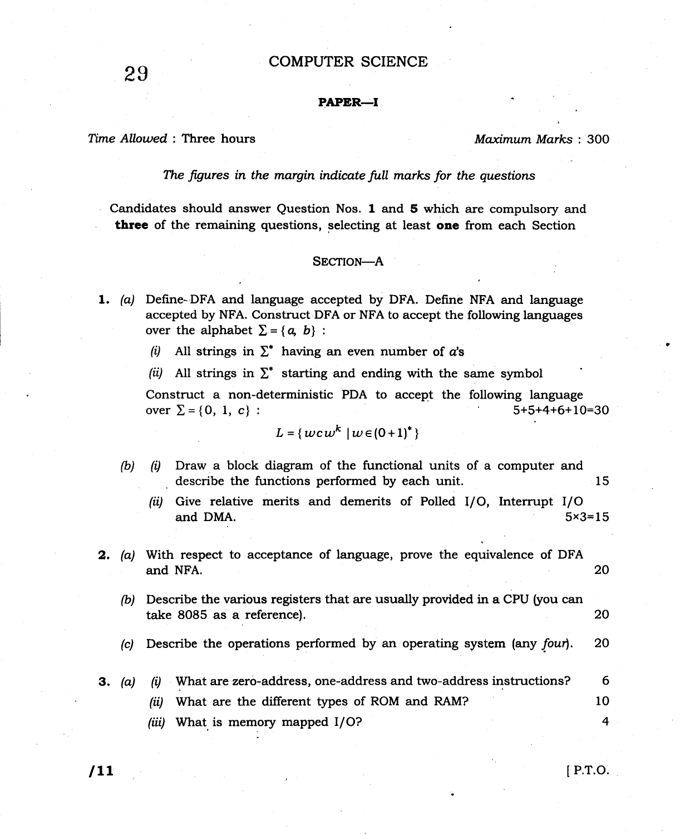## COMPUTER SCIENCE

## PAPER.-I

Time Allowed : Three hours Maximum Marks : 300

29

The figures in the margin indicate full marks for the questions

Candidates should answer Question Nos. 1 and 5 which are compulsory and three of the remaining questions, selecting at least one from each Section

## SECTION-A

- 1. (a) Define-DFA and language accepted by DFA. Define NFA and language accepted by NFA. Construct DFA or NFA to accept the following languages over the alphabet  $\Sigma = \{a, b\}$ :
	- (i) All strings in  $\Sigma^*$  having an even number of a's
	- (ii) All strings in  $\Sigma^*$  starting and ending with the same symbol

Construct a non-deterministic PDA to accept the following language over  $\Sigma = \{0, 1, c\}$ :  $5+5+4+6+10=30$ 

$$
L = \{ wcw^k \mid w \in (0+1)^* \}
$$

- (b)  $(i)$  Draw a block diagram of the functional units of a computer and describe the functions performed by each unit. 15
	- (ii) Give relative merits and demerits of Polled  $I/O$ , Interrupt  $I/O$ and DMA.  $5 \times 3 = 15$
- 2. (a) With respect to acceptance of language, prove the equivalence of DFA and NFA.
	- 20
	- $(b)$  Describe the various registers that are usually provided in a CPU (you can take 8085 as a reference). 20
	- (c) Describe the operations performed by an operating system (any  $f$ our). 20
- $\delta$  What are zero-address, one-address and two-address instructions? 6 3.  $(a)$ 
	- What are the different types of ROM and RAM? 10 (it
	- (iii) What is memory mapped I/O? 4

**Itt** I p. T.O.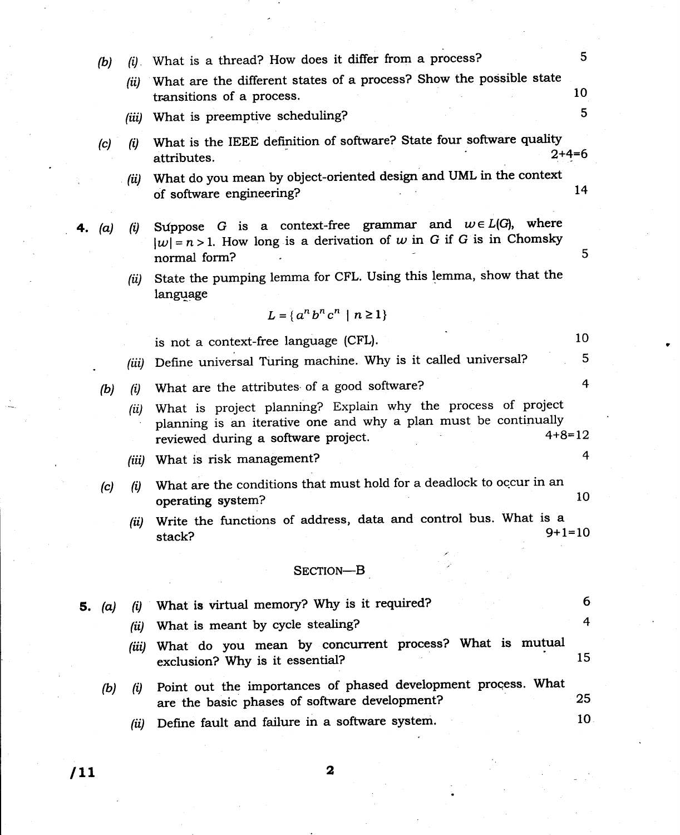|    | (b)      |       | $(i)$ . What is a thread? How does it differ from a process?                                                                                                                           | 5 <sup>5</sup> |
|----|----------|-------|----------------------------------------------------------------------------------------------------------------------------------------------------------------------------------------|----------------|
|    |          | (ii)  | What are the different states of a process? Show the possible state<br>transitions of a process.                                                                                       | 10             |
|    |          | (iii) | What is preemptive scheduling?                                                                                                                                                         | 5              |
|    | (c)      | (i)   | What is the IEEE definition of software? State four software quality<br>attributes.                                                                                                    | $2+4=6$        |
|    |          | (ii)  | What do you mean by object-oriented design and UML in the context<br>of software engineering?                                                                                          | 14             |
| 4. | (a)      | (i)   | Suppose G is a context-free grammar and $w \in L(G)$ , where<br>$ w =n>1$ . How long is a derivation of w in G if G is in Chomsky<br>normal form?                                      | 5              |
|    |          | (ii)  | State the pumping lemma for CFL. Using this lemma, show that the<br>language                                                                                                           |                |
|    |          |       | $L = \{a^n b^n c^n \mid n \ge 1\}$                                                                                                                                                     |                |
|    |          |       | is not a context-free language (CFL).                                                                                                                                                  | 10             |
|    |          | (iii) | Define universal Turing machine. Why is it called universal?                                                                                                                           | 5              |
|    | (b)      | (i)   | What are the attributes of a good software?                                                                                                                                            | 4              |
|    |          | (ii)  | What is project planning? Explain why the process of project<br>planning is an iterative one and why a plan must be continually<br>$4 + 8 = 12$<br>reviewed during a software project. |                |
|    |          | (iii) | What is risk management?                                                                                                                                                               | 4              |
|    | (c)      | (i)   | What are the conditions that must hold for a deadlock to occur in an<br>operating system?                                                                                              | 10             |
|    |          | (ii)  | Write the functions of address, data and control bus. What is a<br>$9+1=10$<br>stack?                                                                                                  |                |
|    |          |       | SECTION-B                                                                                                                                                                              |                |
|    | 5. $(a)$ | (i)   | What is virtual memory? Why is it required?                                                                                                                                            | 6              |
|    |          | (ii)  | What is meant by cycle stealing?                                                                                                                                                       | 4              |
|    |          | (iii) | What do you mean by concurrent process? What is mutual<br>exclusion? Why is it essential?                                                                                              | 15             |
|    | (b)      | (i)   | Point out the importances of phased development process. What<br>are the basic phases of software development?                                                                         | 25             |
|    |          | (ii)  | Define fault and failure in a software system.                                                                                                                                         | 10             |
|    |          |       |                                                                                                                                                                                        |                |

 $\sqrt{11}$  2